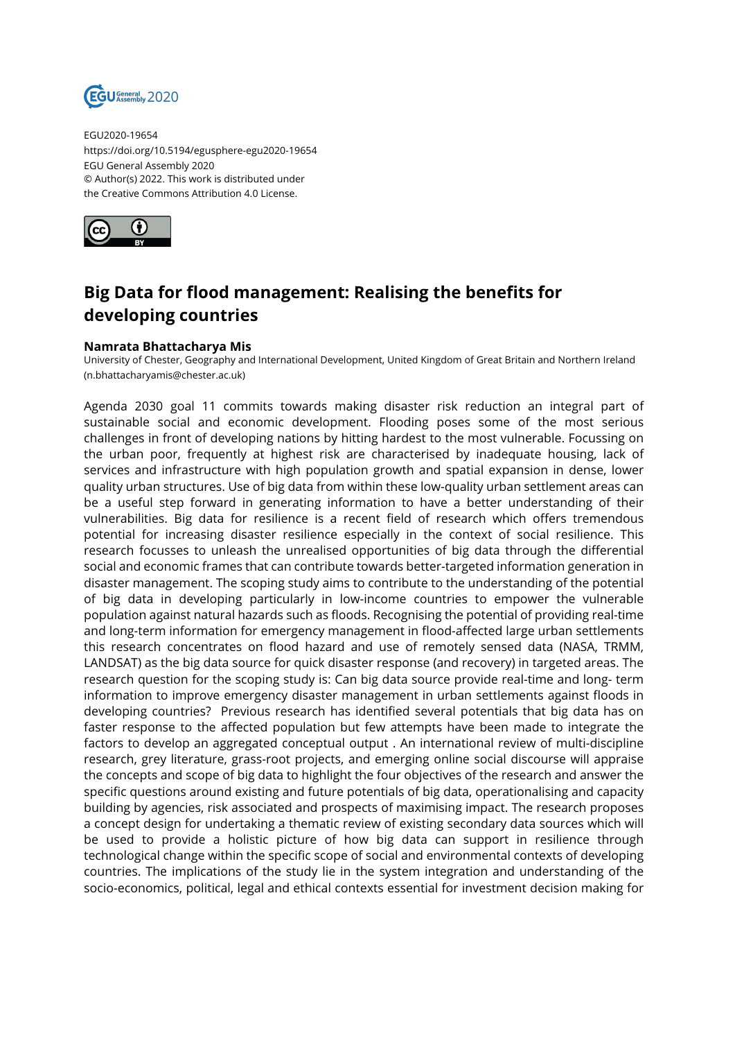

EGU2020-19654 https://doi.org/10.5194/egusphere-egu2020-19654 EGU General Assembly 2020 © Author(s) 2022. This work is distributed under the Creative Commons Attribution 4.0 License.



## **Big Data for flood management: Realising the benefits for developing countries**

## **Namrata Bhattacharya Mis**

University of Chester, Geography and International Development, United Kingdom of Great Britain and Northern Ireland (n.bhattacharyamis@chester.ac.uk)

Agenda 2030 goal 11 commits towards making disaster risk reduction an integral part of sustainable social and economic development. Flooding poses some of the most serious challenges in front of developing nations by hitting hardest to the most vulnerable. Focussing on the urban poor, frequently at highest risk are characterised by inadequate housing, lack of services and infrastructure with high population growth and spatial expansion in dense, lower quality urban structures. Use of big data from within these low-quality urban settlement areas can be a useful step forward in generating information to have a better understanding of their vulnerabilities. Big data for resilience is a recent field of research which offers tremendous potential for increasing disaster resilience especially in the context of social resilience. This research focusses to unleash the unrealised opportunities of big data through the differential social and economic frames that can contribute towards better-targeted information generation in disaster management. The scoping study aims to contribute to the understanding of the potential of big data in developing particularly in low-income countries to empower the vulnerable population against natural hazards such as floods. Recognising the potential of providing real-time and long-term information for emergency management in flood-affected large urban settlements this research concentrates on flood hazard and use of remotely sensed data (NASA, TRMM, LANDSAT) as the big data source for quick disaster response (and recovery) in targeted areas. The research question for the scoping study is: Can big data source provide real-time and long- term information to improve emergency disaster management in urban settlements against floods in developing countries? Previous research has identified several potentials that big data has on faster response to the affected population but few attempts have been made to integrate the factors to develop an aggregated conceptual output . An international review of multi-discipline research, grey literature, grass-root projects, and emerging online social discourse will appraise the concepts and scope of big data to highlight the four objectives of the research and answer the specific questions around existing and future potentials of big data, operationalising and capacity building by agencies, risk associated and prospects of maximising impact. The research proposes a concept design for undertaking a thematic review of existing secondary data sources which will be used to provide a holistic picture of how big data can support in resilience through technological change within the specific scope of social and environmental contexts of developing countries. The implications of the study lie in the system integration and understanding of the socio-economics, political, legal and ethical contexts essential for investment decision making for